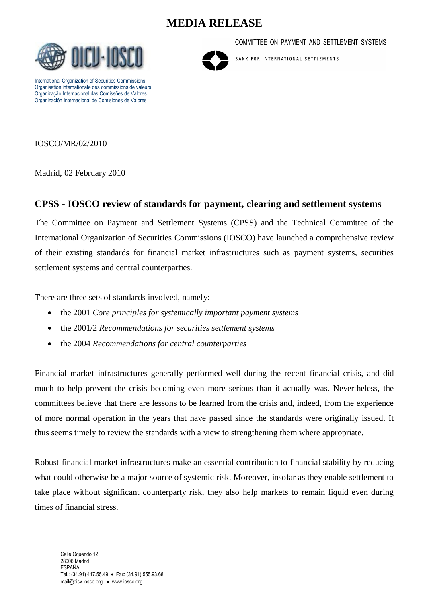# **MEDIA RELEASE**



International Organization of Securities Commissions Organisation internationale des commissions de valeurs Organização Internacional das Comissões de Valores Organización Internacional de Comisiones de Valores

COMMITTEE ON PAYMENT AND SETTLEMENT SYSTEMS



BANK FOR INTERNATIONAL SETTLEMENTS

IOSCO/MR/02/2010

Madrid, 02 February 2010

#### **CPSS - IOSCO review of standards for payment, clearing and settlement systems**

The Committee on Payment and Settlement Systems (CPSS) and the Technical Committee of the International Organization of Securities Commissions (IOSCO) have launched a comprehensive review of their existing standards for financial market infrastructures such as payment systems, securities settlement systems and central counterparties.

There are three sets of standards involved, namely:

- the 2001 *Core principles for systemically important payment systems*
- the 2001/2 *Recommendations for securities settlement systems*
- the 2004 *Recommendations for central counterparties*

Financial market infrastructures generally performed well during the recent financial crisis, and did much to help prevent the crisis becoming even more serious than it actually was. Nevertheless, the committees believe that there are lessons to be learned from the crisis and, indeed, from the experience of more normal operation in the years that have passed since the standards were originally issued. It thus seems timely to review the standards with a view to strengthening them where appropriate.

Robust financial market infrastructures make an essential contribution to financial stability by reducing what could otherwise be a major source of systemic risk. Moreover, insofar as they enable settlement to take place without significant counterparty risk, they also help markets to remain liquid even during times of financial stress.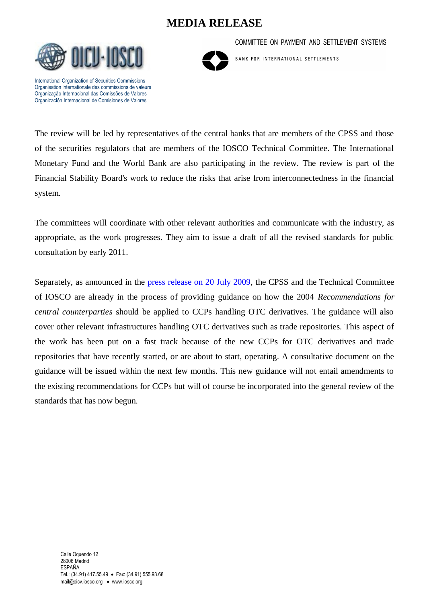# **MEDIA RELEASE**



International Organization of Securities Commissions Organisation internationale des commissions de valeurs Organização Internacional das Comissões de Valores Organización Internacional de Comisiones de Valores

BANK FOR INTERNATIONAL SETTLEMENTS

COMMITTEE ON PAYMENT AND SETTLEMENT SYSTEMS

The review will be led by representatives of the central banks that are members of the CPSS and those of the securities regulators that are members of the IOSCO Technical Committee. The International Monetary Fund and the World Bank are also participating in the review. The review is part of the Financial Stability Board's work to reduce the risks that arise from interconnectedness in the financial system.

The committees will coordinate with other relevant authorities and communicate with the industry, as appropriate, as the work progresses. They aim to issue a draft of all the revised standards for public consultation by early 2011.

Separately, as announced in the [press release on 20 July 2009,](http://www.iosco.org/news/pdf/IOSCONEWS161.pdf) the CPSS and the Technical Committee of IOSCO are already in the process of providing guidance on how the 2004 *Recommendations for central counterparties* should be applied to CCPs handling OTC derivatives. The guidance will also cover other relevant infrastructures handling OTC derivatives such as trade repositories. This aspect of the work has been put on a fast track because of the new CCPs for OTC derivatives and trade repositories that have recently started, or are about to start, operating. A consultative document on the guidance will be issued within the next few months. This new guidance will not entail amendments to the existing recommendations for CCPs but will of course be incorporated into the general review of the standards that has now begun.